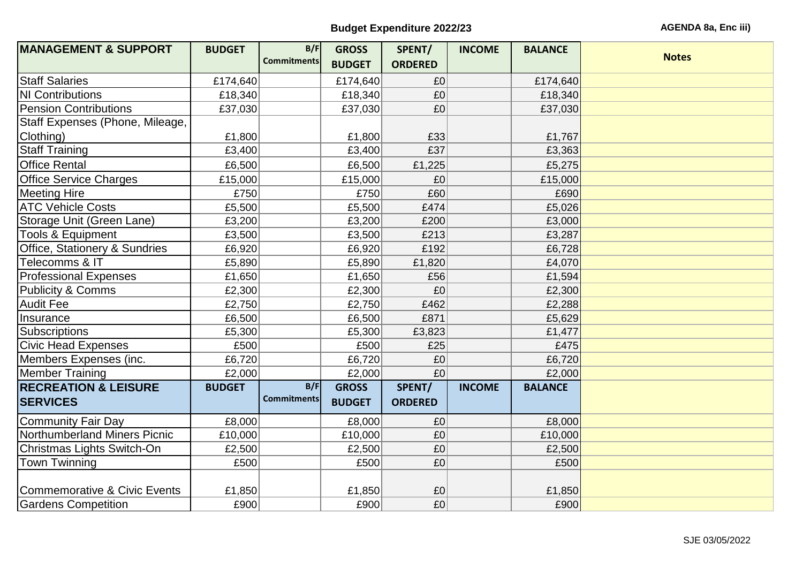## **Budget Expenditure 2022/23 AGENDA 8a, Enc iii**)

| <b>MANAGEMENT &amp; SUPPORT</b>          | <b>BUDGET</b> | B/F                | <b>GROSS</b>  | SPENT/         | <b>INCOME</b> | <b>BALANCE</b> |              |
|------------------------------------------|---------------|--------------------|---------------|----------------|---------------|----------------|--------------|
|                                          |               | <b>Commitments</b> | <b>BUDGET</b> | <b>ORDERED</b> |               |                | <b>Notes</b> |
| <b>Staff Salaries</b>                    | £174,640      |                    | £174,640      | $E_0$          |               | £174,640       |              |
| <b>NI Contributions</b>                  | £18,340       |                    | £18,340       | $E_0$          |               | £18,340        |              |
| <b>Pension Contributions</b>             | £37,030       |                    | £37,030       | $E_0$          |               | £37,030        |              |
| Staff Expenses (Phone, Mileage,          |               |                    |               |                |               |                |              |
| Clothing)                                | £1,800        |                    | £1,800        | E33            |               | £1,767         |              |
| <b>Staff Training</b>                    | £3,400        |                    | £3,400        | £37            |               | £3,363         |              |
| <b>Office Rental</b>                     | £6,500        |                    | £6,500        | £1,225         |               | £5,275         |              |
| <b>Office Service Charges</b>            | £15,000       |                    | £15,000       | $E_0$          |               | £15,000        |              |
| <b>Meeting Hire</b>                      | £750          |                    | £750          | E60            |               | £690           |              |
| <b>ATC Vehicle Costs</b>                 | £5,500        |                    | £5,500        | £474           |               | £5,026         |              |
| Storage Unit (Green Lane)                | £3,200        |                    | £3,200        | £200           |               | £3,000         |              |
| <b>Tools &amp; Equipment</b>             | £3,500        |                    | £3,500        | £213           |               | £3,287         |              |
| <b>Office, Stationery &amp; Sundries</b> | £6,920        |                    | £6,920        | £192           |               | £6,728         |              |
| Telecomms & IT                           | £5,890        |                    | £5,890        | £1,820         |               | £4,070         |              |
| <b>Professional Expenses</b>             | £1,650        |                    | £1,650        | £56            |               | £1,594         |              |
| <b>Publicity &amp; Comms</b>             | £2,300        |                    | £2,300        | $E_0$          |               | £2,300         |              |
| <b>Audit Fee</b>                         | £2,750        |                    | £2,750        | £462           |               | £2,288         |              |
| Insurance                                | £6,500        |                    | £6,500        | £871           |               | £5,629         |              |
| Subscriptions                            | £5,300        |                    | £5,300        | £3,823         |               | £1,477         |              |
| <b>Civic Head Expenses</b>               | £500          |                    | £500          | £25            |               | £475           |              |
| Members Expenses (inc.                   | £6,720        |                    | £6,720        | E0             |               | £6,720         |              |
| Member Training                          | £2,000        |                    | £2,000        | E <sub>0</sub> |               | £2,000         |              |
| <b>RECREATION &amp; LEISURE</b>          | <b>BUDGET</b> | B/F                | <b>GROSS</b>  | SPENT/         | <b>INCOME</b> | <b>BALANCE</b> |              |
| <b>SERVICES</b>                          |               | <b>Commitments</b> | <b>BUDGET</b> | <b>ORDERED</b> |               |                |              |
| Community Fair Day                       | £8,000        |                    | £8,000        | E <sub>0</sub> |               | £8,000         |              |
| Northumberland Miners Picnic             | £10,000       |                    | £10,000       | $E_0$          |               | £10,000        |              |
| Christmas Lights Switch-On               | £2,500        |                    | £2,500        | $E_0$          |               | £2,500         |              |
| <b>Town Twinning</b>                     | £500          |                    | £500          | $E_0$          |               | £500           |              |
| Commemorative & Civic Events             | £1,850        |                    | £1,850        | E0             |               | £1,850         |              |
| <b>Gardens Competition</b>               | £900          |                    | £900          | E0             |               | £900           |              |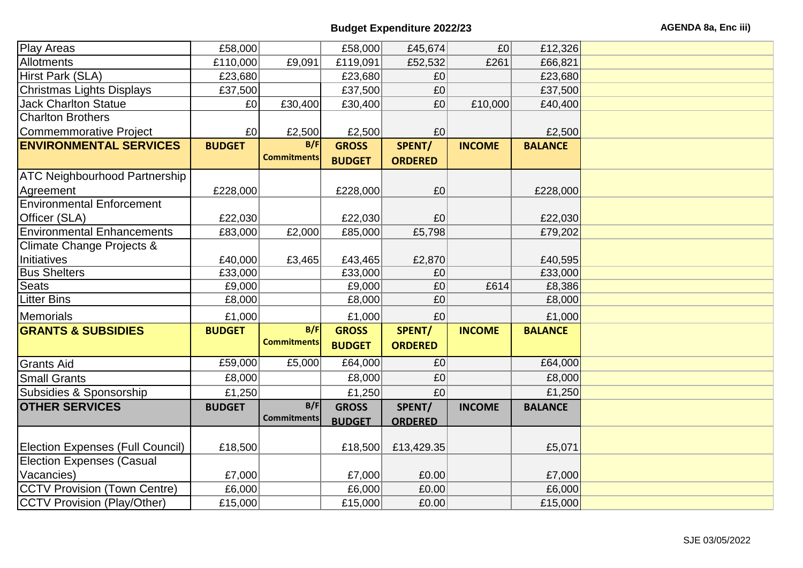| Play Areas                              | £58,000        |                    | £58,000       | £45,674        | E0            | £12,326        |  |
|-----------------------------------------|----------------|--------------------|---------------|----------------|---------------|----------------|--|
| <b>Allotments</b>                       | £110,000       | £9,091             | £119,091      | £52,532        | £261          | £66,821        |  |
| Hirst Park (SLA)                        | £23,680        |                    | £23,680       | £0             |               | £23,680        |  |
| Christmas Lights Displays               | £37,500        |                    | £37,500       | £0             |               | £37,500        |  |
| <b>Jack Charlton Statue</b>             | £0             | £30,400            | £30,400       | £0             | £10,000       | £40,400        |  |
| <b>Charlton Brothers</b>                |                |                    |               |                |               |                |  |
| Commemmorative Project                  | E <sub>0</sub> | £2,500             | £2,500        | £0             |               | £2,500         |  |
| <b>ENVIRONMENTAL SERVICES</b>           | <b>BUDGET</b>  | B/F                | <b>GROSS</b>  | SPENT/         | <b>INCOME</b> | <b>BALANCE</b> |  |
|                                         |                | <b>Commitments</b> | <b>BUDGET</b> | <b>ORDERED</b> |               |                |  |
| <b>ATC Neighbourhood Partnership</b>    |                |                    |               |                |               |                |  |
| Agreement                               | £228,000       |                    | £228,000      | £0             |               | £228,000       |  |
| <b>Environmental Enforcement</b>        |                |                    |               |                |               |                |  |
| Officer (SLA)                           | £22,030        |                    | £22,030       | £0             |               | £22,030        |  |
| <b>Environmental Enhancements</b>       | £83,000        | £2,000             | £85,000       | £5,798         |               | £79,202        |  |
| <b>Climate Change Projects &amp;</b>    |                |                    |               |                |               |                |  |
| Initiatives                             | £40,000        | £3,465             | £43,465       | £2,870         |               | £40,595        |  |
| <b>Bus Shelters</b>                     | £33,000        |                    | £33,000       | £0             |               | £33,000        |  |
| <b>Seats</b>                            | £9,000         |                    | £9,000        | £0             | £614          | £8,386         |  |
| <b>Litter Bins</b>                      | £8,000         |                    | £8,000        | £0             |               | £8,000         |  |
| Memorials                               | £1,000         |                    | £1,000        | £0             |               | £1,000         |  |
| <b>GRANTS &amp; SUBSIDIES</b>           | <b>BUDGET</b>  | B/F                | <b>GROSS</b>  | SPENT/         | <b>INCOME</b> | <b>BALANCE</b> |  |
|                                         |                | <b>Commitments</b> | <b>BUDGET</b> | <b>ORDERED</b> |               |                |  |
| <b>Grants Aid</b>                       | £59,000        | £5,000             | £64,000       | £0             |               | £64,000        |  |
| <b>Small Grants</b>                     | £8,000         |                    | £8,000        | £0             |               | £8,000         |  |
| Subsidies & Sponsorship                 | £1,250         |                    | £1,250        | £0             |               | £1,250         |  |
| <b>OTHER SERVICES</b>                   | <b>BUDGET</b>  | B/F                | <b>GROSS</b>  | SPENT/         | <b>INCOME</b> | <b>BALANCE</b> |  |
|                                         |                | <b>Commitments</b> | <b>BUDGET</b> | <b>ORDERED</b> |               |                |  |
|                                         |                |                    |               |                |               |                |  |
| <b>Election Expenses (Full Council)</b> | £18,500        |                    | £18,500       | £13,429.35     |               | £5,071         |  |
| <b>Election Expenses (Casual</b>        |                |                    |               |                |               |                |  |
| Vacancies)                              | £7,000         |                    | £7,000        | £0.00          |               | £7,000         |  |
| <b>CCTV Provision (Town Centre)</b>     | £6,000         |                    | £6,000        | £0.00          |               | £6,000         |  |
| <b>CCTV Provision (Play/Other)</b>      | £15,000        |                    | £15,000       | £0.00          |               | £15,000        |  |